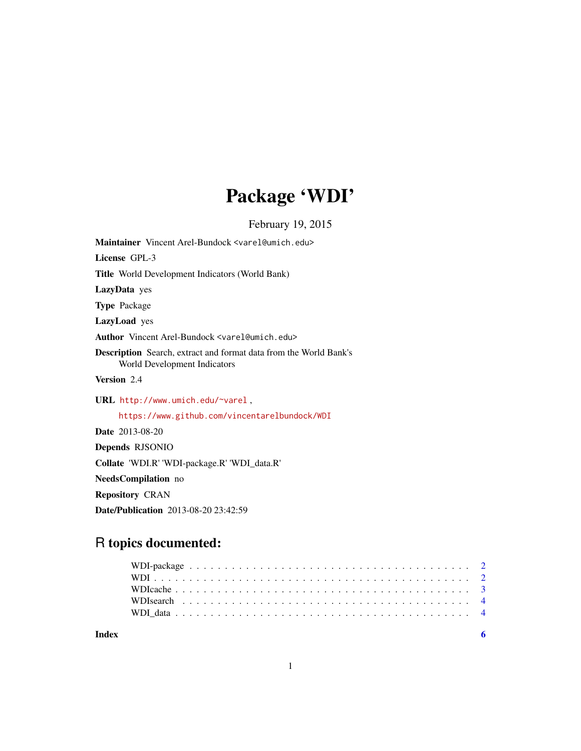## Package 'WDI'

February 19, 2015

Maintainer Vincent Arel-Bundock <varel@umich.edu> License GPL-3 Title World Development Indicators (World Bank) LazyData yes Type Package LazyLoad yes Author Vincent Arel-Bundock <varel@umich.edu> Description Search, extract and format data from the World Bank's World Development Indicators Version 2.4 URL <http://www.umich.edu/~varel> , <https://www.github.com/vincentarelbundock/WDI> Date 2013-08-20 Depends RJSONIO Collate 'WDI.R' 'WDI-package.R' 'WDI\_data.R' NeedsCompilation no Repository CRAN

Date/Publication 2013-08-20 23:42:59

### R topics documented:

**Index** [6](#page-5-0) **6**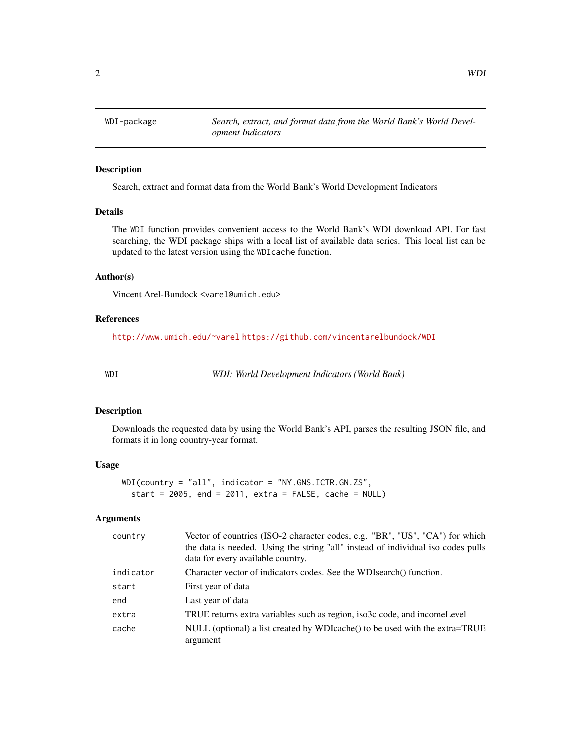<span id="page-1-0"></span>

#### Description

Search, extract and format data from the World Bank's World Development Indicators

#### Details

The WDI function provides convenient access to the World Bank's WDI download API. For fast searching, the WDI package ships with a local list of available data series. This local list can be updated to the latest version using the WDIcache function.

#### Author(s)

Vincent Arel-Bundock <varel@umich.edu>

#### References

<http://www.umich.edu/~varel> <https://github.com/vincentarelbundock/WDI>

WDI *WDI: World Development Indicators (World Bank)*

#### Description

Downloads the requested data by using the World Bank's API, parses the resulting JSON file, and formats it in long country-year format.

#### Usage

```
WDI(country = "all", indicator = "NY.GNS.ICTR.GN.ZS",
  start = 2005, end = 2011, extra = FALSE, cache = NULL)
```
#### Arguments

| country   | Vector of countries (ISO-2 character codes, e.g. "BR", "US", "CA") for which<br>the data is needed. Using the string "all" instead of individual iso codes pulls<br>data for every available country. |
|-----------|-------------------------------------------------------------------------------------------------------------------------------------------------------------------------------------------------------|
| indicator | Character vector of indicators codes. See the WDIsearch() function.                                                                                                                                   |
| start     | First year of data                                                                                                                                                                                    |
| end       | Last year of data                                                                                                                                                                                     |
| extra     | TRUE returns extra variables such as region, iso3c code, and income Level                                                                                                                             |
| cache     | NULL (optional) a list created by WDIcache() to be used with the extra=TRUE<br>argument                                                                                                               |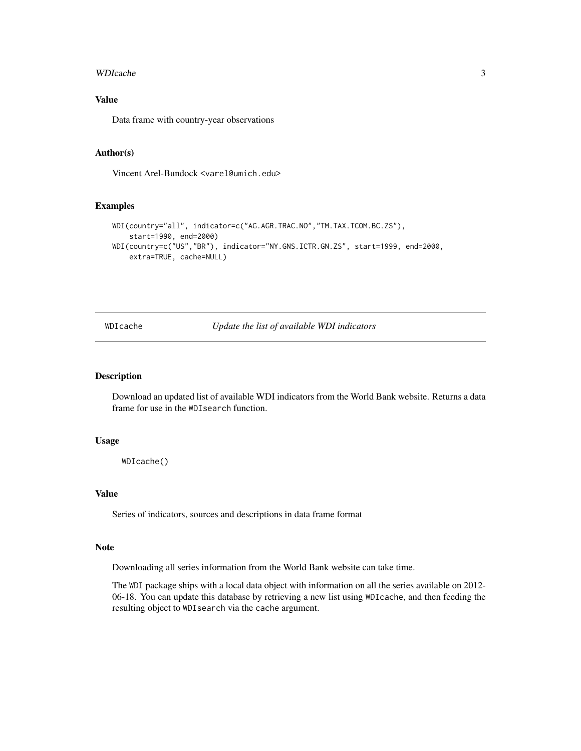#### <span id="page-2-0"></span>WDIcache 3

#### Value

Data frame with country-year observations

#### Author(s)

Vincent Arel-Bundock <varel@umich.edu>

#### Examples

```
WDI(country="all", indicator=c("AG.AGR.TRAC.NO","TM.TAX.TCOM.BC.ZS"),
    start=1990, end=2000)
WDI(country=c("US","BR"), indicator="NY.GNS.ICTR.GN.ZS", start=1999, end=2000,
    extra=TRUE, cache=NULL)
```
WDIcache *Update the list of available WDI indicators*

#### Description

Download an updated list of available WDI indicators from the World Bank website. Returns a data frame for use in the WDIsearch function.

#### Usage

WDIcache()

#### Value

Series of indicators, sources and descriptions in data frame format

#### Note

Downloading all series information from the World Bank website can take time.

The WDI package ships with a local data object with information on all the series available on 2012- 06-18. You can update this database by retrieving a new list using WDIcache, and then feeding the resulting object to WDIsearch via the cache argument.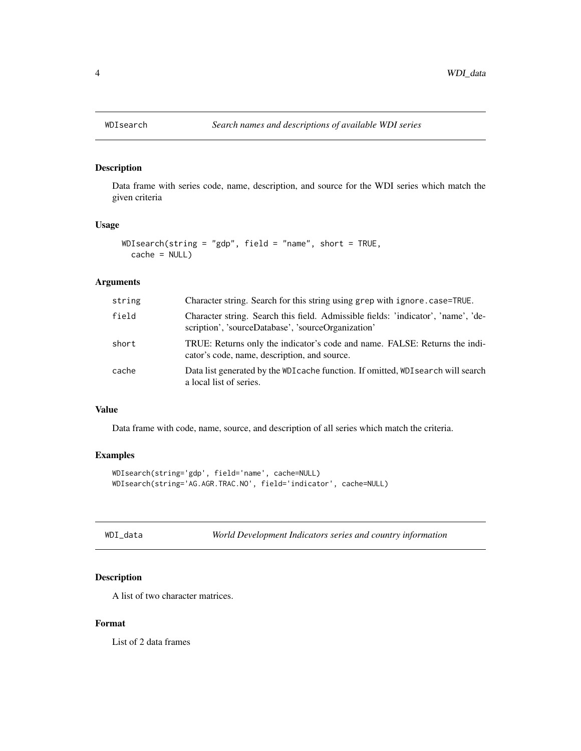<span id="page-3-0"></span>

#### Description

Data frame with series code, name, description, and source for the WDI series which match the given criteria

#### Usage

```
WDIsearch(string = "gdp", field = "name", short = TRUE,
  cache = NULL)
```
#### Arguments

| string | Character string. Search for this string using grep with ignore.case=TRUE.                                                              |
|--------|-----------------------------------------------------------------------------------------------------------------------------------------|
| field  | Character string. Search this field. Admissible fields: 'indicator', 'name', 'de-<br>scription', 'sourceDatabase', 'sourceOrganization' |
| short  | TRUE: Returns only the indicator's code and name. FALSE: Returns the indi-<br>cator's code, name, description, and source.              |
| cache  | Data list generated by the WDI cache function. If omitted, WDI search will search<br>a local list of series.                            |

#### Value

Data frame with code, name, source, and description of all series which match the criteria.

#### Examples

```
WDIsearch(string='gdp', field='name', cache=NULL)
WDIsearch(string='AG.AGR.TRAC.NO', field='indicator', cache=NULL)
```

| WDI_data | World Development Indicators series and country information |
|----------|-------------------------------------------------------------|
|----------|-------------------------------------------------------------|

#### Description

A list of two character matrices.

#### Format

List of 2 data frames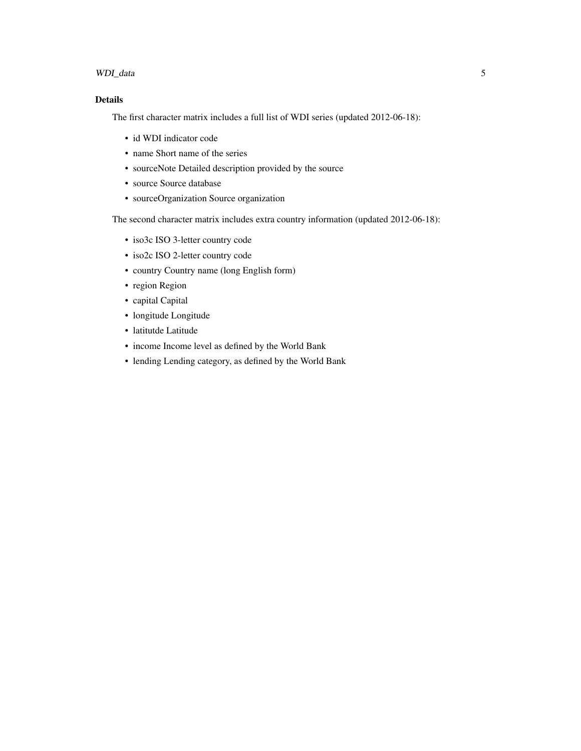#### WDI\_data 5

#### Details

The first character matrix includes a full list of WDI series (updated 2012-06-18):

- id WDI indicator code
- name Short name of the series
- sourceNote Detailed description provided by the source
- source Source database
- sourceOrganization Source organization

The second character matrix includes extra country information (updated 2012-06-18):

- iso3c ISO 3-letter country code
- iso2c ISO 2-letter country code
- country Country name (long English form)
- region Region
- capital Capital
- longitude Longitude
- latitutde Latitude
- income Income level as defined by the World Bank
- lending Lending category, as defined by the World Bank